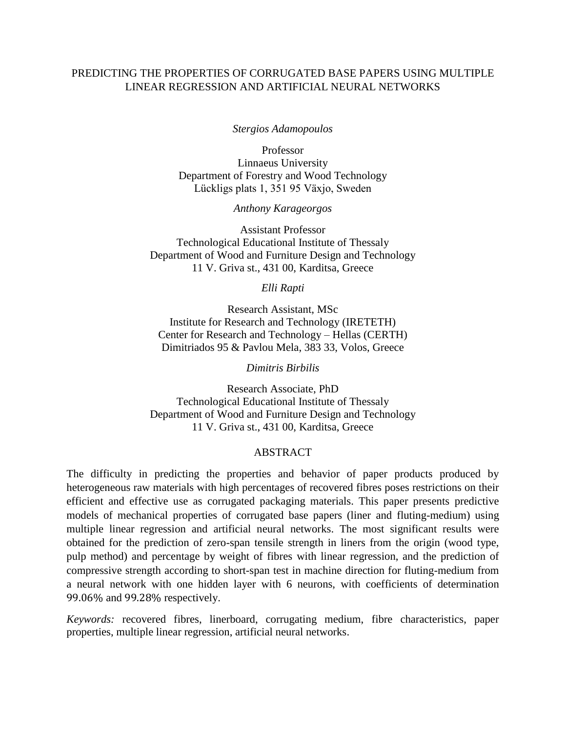## PREDICTING THE PROPERTIES OF CORRUGATED BASE PAPERS USING MULTIPLE LINEAR REGRESSION AND ARTIFICIAL NEURAL NETWORKS

*Stergios Adamopoulos*

Professor Linnaeus University Department of Forestry and Wood Technology Lückligs plats 1, 351 95 Växjo, Sweden

*Anthony Karageorgos*

Assistant Professor Technological Educational Institute of Thessaly Department of Wood and Furniture Design and Technology 11 V. Griva st., 431 00, Karditsa, Greece

*Elli Rapti*

Research Assistant, MSc Institute for Research and Technology (IRETETH) Center for Research and Technology – Hellas (CERTH) Dimitriados 95 & Pavlou Mela, 383 33, Volos, Greece

*Dimitris Birbilis*

Research Associate, PhD Technological Educational Institute of Thessaly Department of Wood and Furniture Design and Technology 11 V. Griva st., 431 00, Karditsa, Greece

#### ABSTRACT

The difficulty in predicting the properties and behavior of paper products produced by heterogeneous raw materials with high percentages of recovered fibres poses restrictions on their efficient and effective use as corrugated packaging materials. This paper presents predictive models of mechanical properties of corrugated base papers (liner and fluting-medium) using multiple linear regression and artificial neural networks. The most significant results were obtained for the prediction of zero-span tensile strength in liners from the origin (wood type, pulp method) and percentage by weight of fibres with linear regression, and the prediction of compressive strength according to short-span test in machine direction for fluting-medium from a neural network with one hidden layer with 6 neurons, with coefficients of determination 99.06% and 99.28% respectively.

*Keywords:* recovered fibres, linerboard, corrugating medium, fibre characteristics, paper properties, multiple linear regression, artificial neural networks.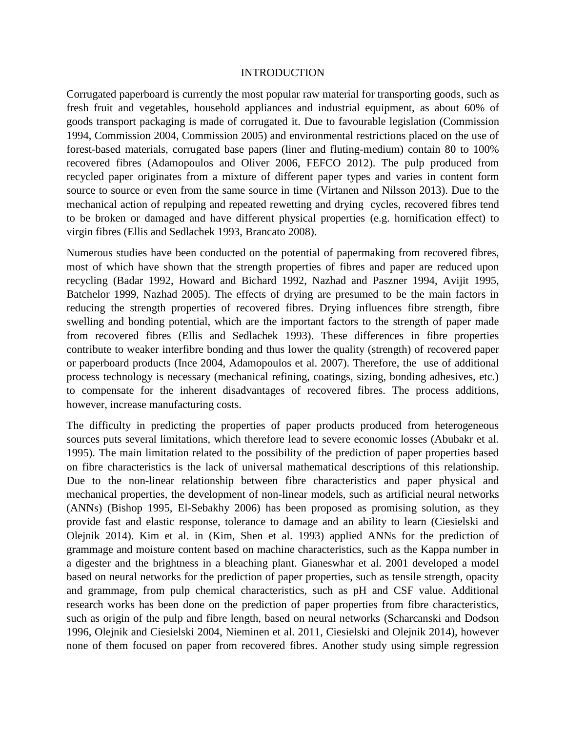#### INTRODUCTION

Corrugated paperboard is currently the most popular raw material for transporting goods, such as fresh fruit and vegetables, household appliances and industrial equipment, as about 60% of goods transport packaging is made of corrugated it. Due to favourable legislation [\(Commission](#page-9-0)  [1994,](#page-9-0) [Commission 2004,](#page-9-1) [Commission 2005\)](#page-9-2) and environmental restrictions placed on the use of forest-based materials, corrugated base papers (liner and fluting-medium) contain 80 to 100% recovered fibres [\(Adamopoulos and Oliver 2006,](#page-8-0) [FEFCO 2012\)](#page-9-3). The pulp produced from recycled paper originates from a mixture of different paper types and varies in content form source to source or even from the same source in time [\(Virtanen and Nilsson 2013\)](#page-9-4). Due to the mechanical action of repulping and repeated rewetting and drying cycles, recovered fibres tend to be broken or damaged and have different physical properties (e.g. hornification effect) to virgin fibres [\(Ellis and Sedlachek 1993,](#page-9-5) Brancato 2008).

Numerous studies have been conducted on the potential of papermaking from recovered fibres, most of which have shown that the strength properties of fibres and paper are reduced upon recycling (Badar 1992, Howard and Bichard 1992, Nazhad and Paszner 1994, Avijit 1995, Batchelor 1999, Nazhad 2005). The effects of drying are presumed to be the main factors in reducing the strength properties of recovered fibres. Drying influences fibre strength, fibre swelling and bonding potential, which are the important factors to the strength of paper made from recovered fibres [\(Ellis and Sedlachek 1993\)](#page-9-5). These differences in fibre properties contribute to weaker interfibre bonding and thus lower the quality (strength) of recovered paper or paperboard products [\(Ince 2004,](#page-9-6) [Adamopoulos](#page-8-1) et al. 2007). Therefore, the use of additional process technology is necessary (mechanical refining, coatings, sizing, bonding adhesives, etc.) to compensate for the inherent disadvantages of recovered fibres. The process additions, however, increase manufacturing costs.

The difficulty in predicting the properties of paper products produced from heterogeneous sources puts several limitations, which therefore lead to severe economic losses [\(Abubakr](#page-8-2) et al. [1995\)](#page-8-2). The main limitation related to the possibility of the prediction of paper properties based on fibre characteristics is the lack of universal mathematical descriptions of this relationship. Due to the non-linear relationship between fibre characteristics and paper physical and mechanical properties, the development of non-linear models, such as artificial neural networks (ANNs) [\(Bishop 1995,](#page-8-3) [El-Sebakhy 2006\)](#page-9-7) has been proposed as promising solution, as they provide fast and elastic response, tolerance to damage and an ability to learn [\(Ciesielski and](#page-9-8)  [Olejnik 2014\)](#page-9-8). Kim et al. in [\(Kim, Shen et al. 1993\)](#page-9-9) applied ANNs for the prediction of grammage and moisture content based on machine characteristics, such as the Kappa number in a digester and the brightness in a bleaching plant. Gianeswhar et al. 2001 developed a model based on neural networks for the prediction of paper properties, such as tensile strength, opacity and grammage, from pulp chemical characteristics, such as pH and CSF value. Additional research works has been done on the prediction of paper properties from fibre characteristics, such as origin of the pulp and fibre length, based on neural networks [\(Scharcanski and Dodson](#page-9-10)  [1996,](#page-9-10) [Olejnik and Ciesielski 2004,](#page-9-11) [Nieminen et al. 2011,](#page-9-12) [Ciesielski and Olejnik 2014\)](#page-9-8), however none of them focused on paper from recovered fibres. Another study using simple regression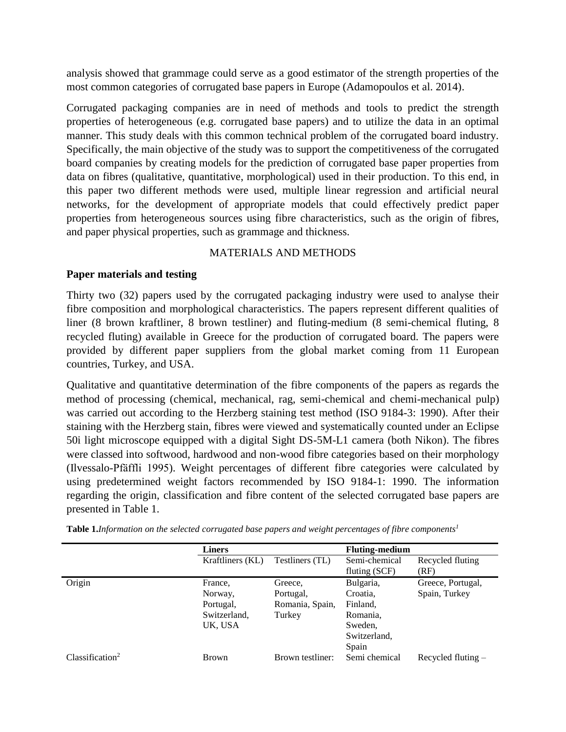analysis showed that grammage could serve as a good estimator of the strength properties of the most common categories of corrugated base papers in Europe (Adamopoulos et al. 2014).

Corrugated packaging companies are in need of methods and tools to predict the strength properties of heterogeneous (e.g. corrugated base papers) and to utilize the data in an optimal manner. This study deals with this common technical problem of the corrugated board industry. Specifically, the main objective of the study was to support the competitiveness of the corrugated board companies by creating models for the prediction of corrugated base paper properties from data on fibres (qualitative, quantitative, morphological) used in their production. To this end, in this paper two different methods were used, multiple linear regression and artificial neural networks, for the development of appropriate models that could effectively predict paper properties from heterogeneous sources using fibre characteristics, such as the origin of fibres, and paper physical properties, such as grammage and thickness.

# MATERIALS AND METHODS

## **Paper materials and testing**

Thirty two (32) papers used by the corrugated packaging industry were used to analyse their fibre composition and morphological characteristics. The papers represent different qualities of liner (8 brown kraftliner, 8 brown testliner) and fluting-medium (8 semi-chemical fluting, 8 recycled fluting) available in Greece for the production of corrugated board. The papers were provided by different paper suppliers from the global market coming from 11 European countries, Turkey, and USA.

Qualitative and quantitative determination of the fibre components of the papers as regards the method of processing (chemical, mechanical, rag, semi-chemical and chemi-mechanical pulp) was carried out according to the Herzberg staining test method (ISO 9184-3: 1990). After their staining with the Herzberg stain, fibres were viewed and systematically counted under an Eclipse 50i light microscope equipped with a digital Sight DS-5M-L1 camera (both Nikon). The fibres were classed into softwood, hardwood and non-wood fibre categories based on their morphology [\(Ilvessalo-Pfäffli 1995\)](#page-9-13). Weight percentages of different fibre categories were calculated by using predetermined weight factors recommended by ISO 9184-1: 1990. The information regarding the origin, classification and fibre content of the selected corrugated base papers are presented in Table 1.

|                             | <b>Liners</b>    |                  | <b>Fluting-medium</b> |                      |
|-----------------------------|------------------|------------------|-----------------------|----------------------|
|                             | Kraftliners (KL) | Testliners (TL)  | Semi-chemical         | Recycled fluting     |
|                             |                  |                  | fluting (SCF)         | (RF)                 |
| Origin                      | France.          | Greece,          | Bulgaria,             | Greece, Portugal,    |
|                             | Norway,          | Portugal,        | Croatia.              | Spain, Turkey        |
|                             | Portugal,        | Romania, Spain,  | Finland,              |                      |
|                             | Switzerland,     | Turkey           | Romania,              |                      |
|                             | UK, USA          |                  | Sweden,               |                      |
|                             |                  |                  | Switzerland,          |                      |
|                             |                  |                  | Spain                 |                      |
| Classification <sup>2</sup> | <b>Brown</b>     | Brown testliner: | Semi chemical         | Recycled fluting $-$ |

**Table 1.***Information on the selected corrugated base papers and weight percentages of fibre components<sup>1</sup>*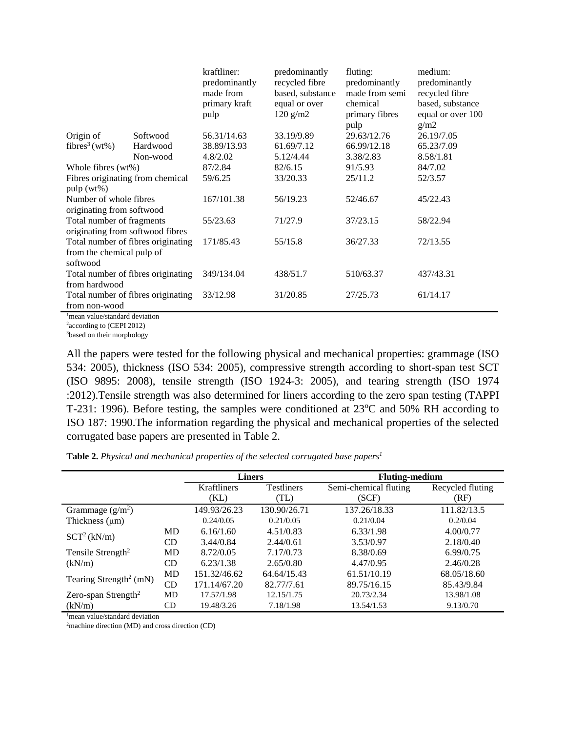|                                    |          | kraftliner:   | predominantly    | fluting:       | medium:           |
|------------------------------------|----------|---------------|------------------|----------------|-------------------|
|                                    |          | predominantly | recycled fibre   | predominantly  | predominantly     |
|                                    |          | made from     | based, substance | made from semi | recycled fibre    |
|                                    |          | primary kraft | equal or over    | chemical       | based, substance  |
|                                    |          | pulp          | $120$ g/m2       | primary fibres | equal or over 100 |
|                                    |          |               |                  | pulp           | g/m2              |
| Origin of                          | Softwood | 56.31/14.63   | 33.19/9.89       | 29.63/12.76    | 26.19/7.05        |
| fibres <sup>3</sup> (wt%)          | Hardwood | 38.89/13.93   | 61.69/7.12       | 66.99/12.18    | 65.23/7.09        |
|                                    | Non-wood | 4.8/2.02      | 5.12/4.44        | 3.38/2.83      | 8.58/1.81         |
| Whole fibres (wt%)                 |          | 87/2.84       | 82/6.15          | 91/5.93        | 84/7.02           |
| Fibres originating from chemical   |          | 59/6.25       | 33/20.33         | 25/11.2        | 52/3.57           |
| pulp(wt%)                          |          |               |                  |                |                   |
| Number of whole fibres             |          | 167/101.38    | 56/19.23         | 52/46.67       | 45/22.43          |
| originating from softwood          |          |               |                  |                |                   |
| Total number of fragments          |          | 55/23.63      | 71/27.9          | 37/23.15       | 58/22.94          |
| originating from softwood fibres   |          |               |                  |                |                   |
| Total number of fibres originating |          | 171/85.43     | 55/15.8          | 36/27.33       | 72/13.55          |
| from the chemical pulp of          |          |               |                  |                |                   |
| softwood                           |          |               |                  |                |                   |
| Total number of fibres originating |          | 349/134.04    | 438/51.7         | 510/63.37      | 437/43.31         |
| from hardwood                      |          |               |                  |                |                   |
| Total number of fibres originating |          | 33/12.98      | 31/20.85         | 27/25.73       | 61/14.17          |
| from non-wood                      |          |               |                  |                |                   |
|                                    |          |               |                  |                |                   |

<sup>1</sup>mean value/standard deviation

<sup>2</sup> according to [\(CEPI 2012\)](#page-9-14)

<sup>3</sup>based on their morphology

All the papers were tested for the following physical and mechanical properties: grammage (ISO 534: 2005), thickness (ISO 534: 2005), compressive strength according to short-span test SCT (ISO 9895: 2008), tensile strength (ISO 1924-3: 2005), and tearing strength (ISO 1974 :2012).Tensile strength was also determined for liners according to the zero span testing (TAPPI T-231: 1996). Before testing, the samples were conditioned at  $23^{\circ}$ C and  $50\%$  RH according to ISO 187: 1990.The information regarding the physical and mechanical properties of the selected corrugated base papers are presented in Table 2.

**Table 2.** *Physical and mechanical properties of the selected corrugated base papers<sup>1</sup>*

|                                    |           | <b>Liners</b>                           |              | <b>Fluting-medium</b> |                  |  |
|------------------------------------|-----------|-----------------------------------------|--------------|-----------------------|------------------|--|
|                                    |           | <b>Testliners</b><br><b>Kraftliners</b> |              | Semi-chemical fluting | Recycled fluting |  |
|                                    |           | (KL)                                    | (TL)         | (SCF)                 | (RF)             |  |
| Grammage $(g/m^2)$                 |           | 149.93/26.23                            | 130.90/26.71 | 137.26/18.33          | 111.82/13.5      |  |
| Thickness $(\mu m)$                |           | 0.24/0.05                               | 0.21/0.05    | 0.21/0.04             | 0.2/0.04         |  |
| $SCT^2(kN/m)$                      | MD        | 6.16/1.60                               | 4.51/0.83    | 6.33/1.98             | 4.00/0.77        |  |
|                                    | CD.       | 3.44/0.84                               | 2.44/0.61    | 3.53/0.97             | 2.18/0.40        |  |
| Tensile Strength <sup>2</sup>      | MD        | 8.72/0.05                               | 7.17/0.73    | 8.38/0.69             | 6.99/0.75        |  |
| (kN/m)                             | CD        | 6.23/1.38                               | 2.65/0.80    | 4.47/0.95             | 2.46/0.28        |  |
|                                    | <b>MD</b> | 151.32/46.62                            | 64.64/15.43  | 61.51/10.19           | 68.05/18.60      |  |
| Tearing Strength <sup>2</sup> (mN) | CD.       | 171.14/67.20                            | 82.77/7.61   | 89.75/16.15           | 85.43/9.84       |  |
| Zero-span Strength <sup>2</sup>    | MD        | 17.57/1.98                              | 12.15/1.75   | 20.73/2.34            | 13.98/1.08       |  |
| (kN/m)                             | CD        | 19.48/3.26                              | 7.18/1.98    | 13.54/1.53            | 9.13/0.70        |  |

<sup>1</sup>mean value/standard deviation

<sup>2</sup>machine direction (MD) and cross direction (CD)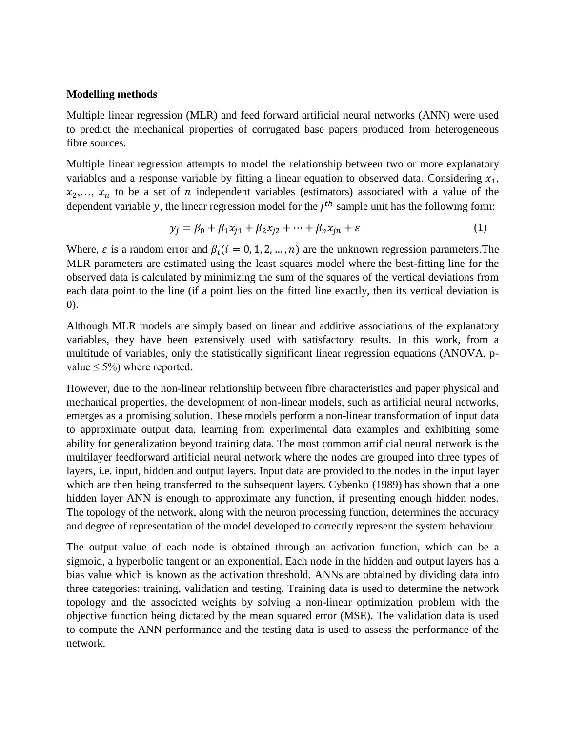## **Modelling methods**

Multiple linear regression (MLR) and feed forward artificial neural networks (ANN) were used to predict the mechanical properties of corrugated base papers produced from heterogeneous fibre sources.

Multiple linear regression attempts to model the relationship between two or more explanatory variables and a response variable by fitting a linear equation to observed data. Considering  $x_1$ ,  $x_2,..., x_n$  to be a set of *n* independent variables (estimators) associated with a value of the dependent variable y, the linear regression model for the  $j<sup>th</sup>$  sample unit has the following form:

$$
y_j = \beta_0 + \beta_1 x_{j1} + \beta_2 x_{j2} + \dots + \beta_n x_{jn} + \varepsilon \tag{1}
$$

Where,  $\varepsilon$  is a random error and  $\beta_i$  ( $i = 0, 1, 2, ..., n$ ) are the unknown regression parameters. The MLR parameters are estimated using the least squares model where the best-fitting line for the observed data is calculated by minimizing the sum of the squares of the vertical deviations from each data point to the line (if a point lies on the fitted line exactly, then its vertical deviation is 0).

Although MLR models are simply based on linear and additive associations of the explanatory variables, they have been extensively used with satisfactory results. In this work, from a multitude of variables, only the statistically significant linear regression equations (ANOVA, pvalue  $\leq 5\%$ ) where reported.

However, due to the non-linear relationship between fibre characteristics and paper physical and mechanical properties, the development of non-linear models, such as artificial neural networks, emerges as a promising solution. These models perform a non-linear transformation of input data to approximate output data, learning from experimental data examples and exhibiting some ability for generalization beyond training data. The most common artificial neural network is the multilayer feedforward artificial neural network where the nodes are grouped into three types of layers, i.e. input, hidden and output layers. Input data are provided to the nodes in the input layer which are then being transferred to the subsequent layers. Cybenko (1989) has shown that a one hidden layer ANN is enough to approximate any function, if presenting enough hidden nodes. The topology of the network, along with the neuron processing function, determines the accuracy and degree of representation of the model developed to correctly represent the system behaviour.

The output value of each node is obtained through an activation function, which can be a sigmoid, a hyperbolic tangent or an exponential. Each node in the hidden and output layers has a bias value which is known as the activation threshold. ANNs are obtained by dividing data into three categories: training, validation and testing. Training data is used to determine the network topology and the associated weights by solving a non-linear optimization problem with the objective function being dictated by the mean squared error (MSE). The validation data is used to compute the ANN performance and the testing data is used to assess the performance of the network.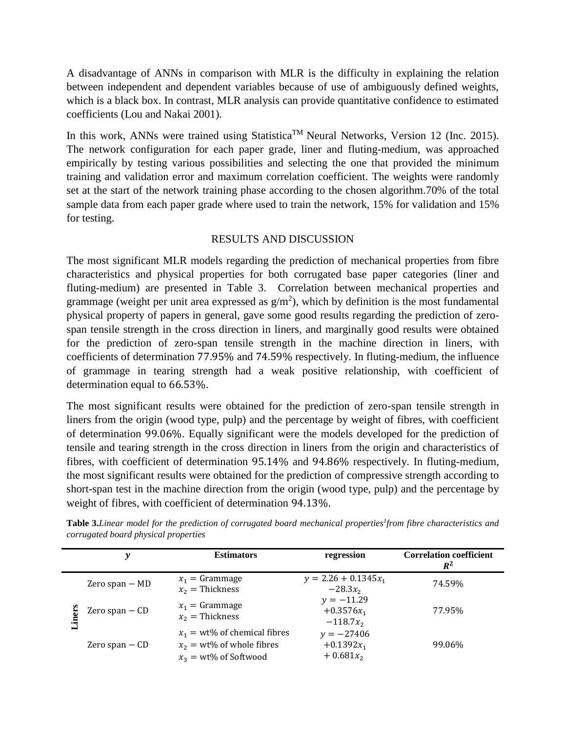A disadvantage of ANNs in comparison with MLR is the difficulty in explaining the relation between independent and dependent variables because of use of ambiguously defined weights, which is a black box. In contrast, MLR analysis can provide quantitative confidence to estimated coefficients [\(Lou and Nakai 2001\)](#page-9-15).

In this work, ANNs were trained using Statistica<sup>TM</sup> Neural Networks, Version 12 [\(Inc. 2015\)](#page-9-16). The network configuration for each paper grade, liner and fluting-medium, was approached empirically by testing various possibilities and selecting the one that provided the minimum training and validation error and maximum correlation coefficient. The weights were randomly set at the start of the network training phase according to the chosen algorithm.70% of the total sample data from each paper grade where used to train the network, 15% for validation and 15% for testing.

## RESULTS AND DISCUSSION

The most significant MLR models regarding the prediction of mechanical properties from fibre characteristics and physical properties for both corrugated base paper categories (liner and fluting-medium) are presented in Table 3. Correlation between mechanical properties and grammage (weight per unit area expressed as  $g/m<sup>2</sup>$ ), which by definition is the most fundamental physical property of papers in general, gave some good results regarding the prediction of zerospan tensile strength in the cross direction in liners, and marginally good results were obtained for the prediction of zero-span tensile strength in the machine direction in liners, with coefficients of determination 77.95% and 74.59% respectively. In fluting-medium, the influence of grammage in tearing strength had a weak positive relationship, with coefficient of determination equal to 66.53%.

The most significant results were obtained for the prediction of zero-span tensile strength in liners from the origin (wood type, pulp) and the percentage by weight of fibres, with coefficient of determination 99.06%. Equally significant were the models developed for the prediction of tensile and tearing strength in the cross direction in liners from the origin and characteristics of fibres, with coefficient of determination 95.14% and 94.86% respectively. In fluting-medium, the most significant results were obtained for the prediction of compressive strength according to short-span test in the machine direction from the origin (wood type, pulp) and the percentage by weight of fibres, with coefficient of determination 94.13%.

|       | у                | <b>Estimators</b>                                                                           | regression                                  | <b>Correlation coefficient</b><br>$R^2$ |
|-------|------------------|---------------------------------------------------------------------------------------------|---------------------------------------------|-----------------------------------------|
|       | Zero span $-$ MD | $x_1 =$ Grammage<br>$x_2$ = Thickness                                                       | $y = 2.26 + 0.1345x_1$<br>$-28.3x_2$        | 74.59%                                  |
| iners | Zero span $-$ CD | $x_1 =$ Grammage<br>$x_2$ = Thickness                                                       |                                             | 77.95%                                  |
|       | Zero span $-$ CD | $x_1 = wt\%$ of chemical fibres<br>$x_2 = wt\%$ of whole fibres<br>$x_3 = wt\%$ of Softwood | $y = -27406$<br>$+0.1392x_1$<br>$+0.681x_2$ | 99.06%                                  |

**Table 3.***Linear model for the prediction of corrugated board mechanical properties<sup>1</sup> from fibre characteristics and corrugated board physical properties*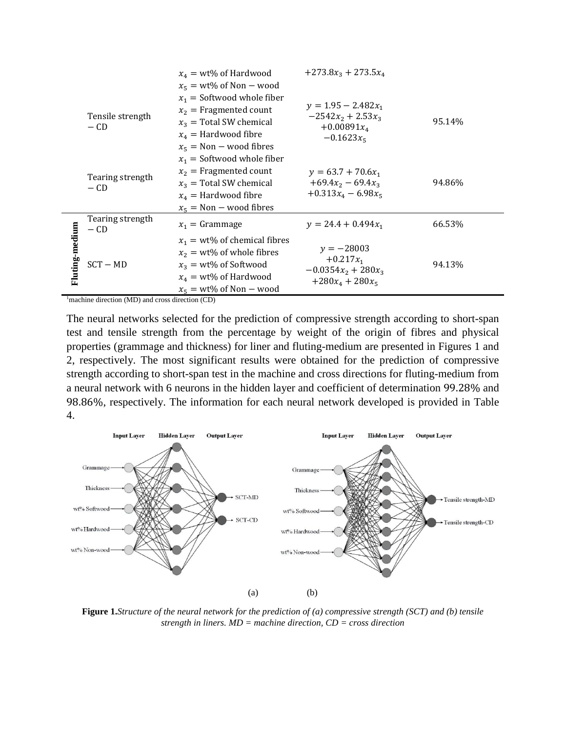|                |                                                                                                                                           | $x_4 = wt\%$ of Hardwood<br>$x_5 = wt\%$ of Non – wood                                                                                                | $+273.8x_3 + 273.5x_4$                                                         |        |
|----------------|-------------------------------------------------------------------------------------------------------------------------------------------|-------------------------------------------------------------------------------------------------------------------------------------------------------|--------------------------------------------------------------------------------|--------|
|                | $x_2$ = Fragmented count<br>Tensile strength<br>$x_3$ = Total SW chemical<br>$-CD$<br>$x_4$ = Hardwood fibre<br>$x_5$ = Non – wood fibres | $x_1$ = Softwood whole fiber                                                                                                                          | $v = 1.95 - 2.482x_1$<br>$-2542x_2 + 2.53x_3$<br>$+0.00891x_4$<br>$-0.1623x_5$ | 95.14% |
|                | Tearing strength<br>$-CD$                                                                                                                 | $x_1$ = Softwood whole fiber<br>$x_2$ = Fragmented count<br>$x_3$ = Total SW chemical<br>$x_4$ = Hardwood fibre<br>$x_5$ = Non – wood fibres          | $v = 63.7 + 70.6x_1$<br>$+69.4x_2 - 69.4x_3$<br>$+0.313x_4 - 6.98x_5$          | 94.86% |
|                | Tearing strength<br>$-CD$                                                                                                                 | $x_1$ = Grammage                                                                                                                                      | $y = 24.4 + 0.494x_1$                                                          | 66.53% |
| Fluting-medium | $SCT - MD$                                                                                                                                | $x_1 = wt\%$ of chemical fibres<br>$x_2 = wt\%$ of whole fibres<br>$x_3 = wt\%$ of Softwood<br>$x_4 = wt\%$ of Hardwood<br>$x_5 = wt\%$ of Non – wood | $y = -28003$<br>$+0.217x_1$<br>$-0.0354x_2 + 280x_3$<br>$+280x_4 + 280x_5$     | 94.13% |
|                | $\mu_{\text{machine}}$ direction (MD) and erose direction (CD)                                                                            |                                                                                                                                                       |                                                                                |        |

<sup>1</sup>machine direction (MD) and cross direction (CD)

The neural networks selected for the prediction of compressive strength according to short-span test and tensile strength from the percentage by weight of the origin of fibres and physical properties (grammage and thickness) for liner and fluting-medium are presented in Figures 1 and 2, respectively. The most significant results were obtained for the prediction of compressive strength according to short-span test in the machine and cross directions for fluting-medium from a neural network with 6 neurons in the hidden layer and coefficient of determination 99.28% and 98.86%, respectively. The information for each neural network developed is provided in Table 4.



**Figure 1.***Structure of the neural network for the prediction of (a) compressive strength (SCT) and (b) tensile strength in liners. MD = machine direction, CD = cross direction*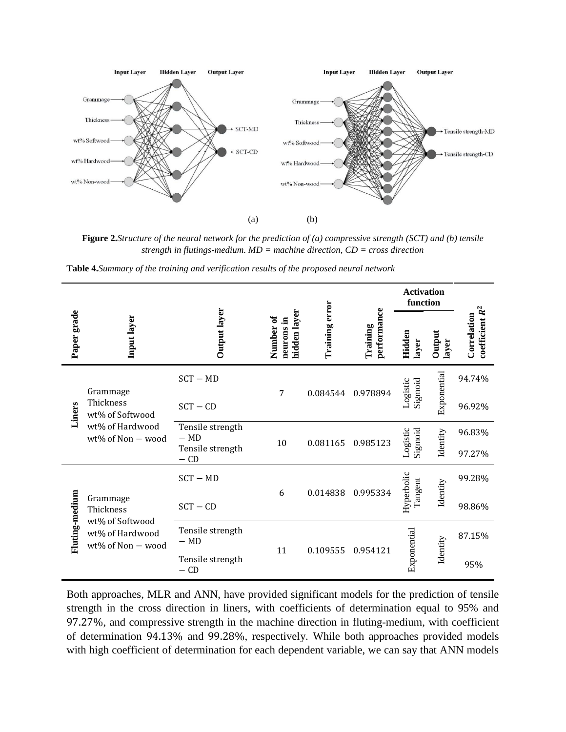

**Figure 2.***Structure of the neural network for the prediction of (a) compressive strength (SCT) and (b) tensile strength in flutings-medium. MD = machine direction, CD = cross direction*

**Table 4.***Summary of the training and verification results of the proposed neural network*

|                |                                                                                  |                            |                                              | Training error | performance<br>Training | <b>Activation</b><br>function |                 |                                  |
|----------------|----------------------------------------------------------------------------------|----------------------------|----------------------------------------------|----------------|-------------------------|-------------------------------|-----------------|----------------------------------|
| Paper grade    | Input layer                                                                      | Output layer               | hidden layer<br>ð<br>,티<br>Number<br>neurons |                |                         | Hidden<br>layer               | Output<br>layer | coefficient $R^2$<br>Correlation |
| Liners         | Grammage<br>Thickness<br>wt% of Softwood<br>wt% of Hardwood<br>wt% of Non - wood | $SCT - MD$                 |                                              |                |                         |                               |                 | 94.74%                           |
|                |                                                                                  | $SCT - CD$                 | 7                                            | 0.084544       | 0.978894                | Sigmoid<br>Logistic           | Exponential     | 96.92%                           |
|                |                                                                                  | Tensile strength<br>$- MD$ | 10                                           | 0.081165       | 0.985123                | Logistic<br>Sigmoid           | Identity        | 96.83%                           |
|                |                                                                                  | Tensile strength<br>$-$ CD |                                              |                |                         |                               |                 | 97.27%                           |
|                |                                                                                  | $SCT - MD$                 | 6                                            | 0.014838       | 0.995334                | Hyperbolic<br>Tangent         | Identity        | 99.28%                           |
|                | Grammage<br>Thickness<br>wt% of Softwood<br>wt% of Hardwood<br>wt% of Non - wood | $SCT - CD$                 |                                              |                |                         |                               |                 | 98.86%                           |
| Fluting-medium |                                                                                  | Tensile strength<br>$- MD$ |                                              | 0.109555       | 0.954121                | Exponential                   |                 | 87.15%                           |
|                |                                                                                  | Tensile strength<br>$-$ CD | 11                                           |                |                         |                               | Identity        | 95%                              |

Both approaches, MLR and ANN, have provided significant models for the prediction of tensile strength in the cross direction in liners, with coefficients of determination equal to 95% and 97.27%, and compressive strength in the machine direction in fluting-medium, with coefficient of determination 94.13% and 99.28%, respectively. While both approaches provided models with high coefficient of determination for each dependent variable, we can say that ANN models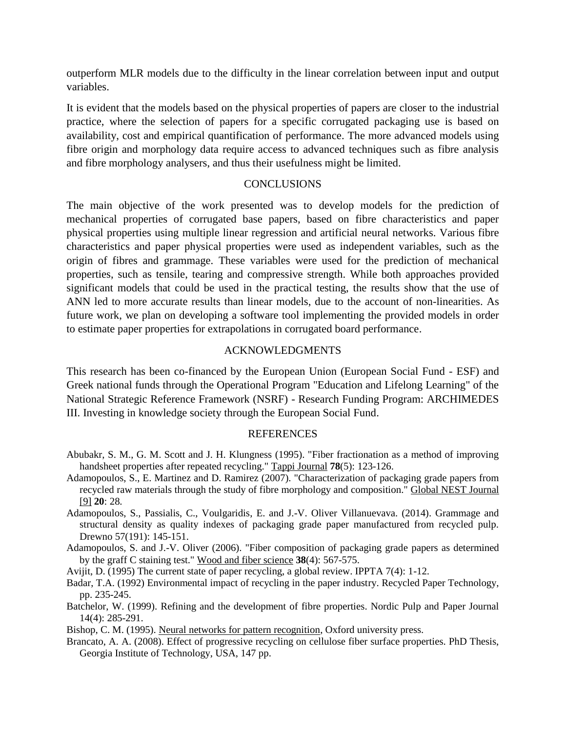outperform MLR models due to the difficulty in the linear correlation between input and output variables.

It is evident that the models based on the physical properties of papers are closer to the industrial practice, where the selection of papers for a specific corrugated packaging use is based on availability, cost and empirical quantification of performance. The more advanced models using fibre origin and morphology data require access to advanced techniques such as fibre analysis and fibre morphology analysers, and thus their usefulness might be limited.

#### **CONCLUSIONS**

The main objective of the work presented was to develop models for the prediction of mechanical properties of corrugated base papers, based on fibre characteristics and paper physical properties using multiple linear regression and artificial neural networks. Various fibre characteristics and paper physical properties were used as independent variables, such as the origin of fibres and grammage. These variables were used for the prediction of mechanical properties, such as tensile, tearing and compressive strength. While both approaches provided significant models that could be used in the practical testing, the results show that the use of ANN led to more accurate results than linear models, due to the account of non-linearities. As future work, we plan on developing a software tool implementing the provided models in order to estimate paper properties for extrapolations in corrugated board performance.

#### ACKNOWLEDGMENTS

This research has been co-financed by the European Union (European Social Fund - ESF) and Greek national funds through the Operational Program "Education and Lifelong Learning" of the National Strategic Reference Framework (NSRF) - Research Funding Program: ARCHIMEDES III. Investing in knowledge society through the European Social Fund.

#### **REFERENCES**

- <span id="page-8-2"></span>Abubakr, S. M., G. M. Scott and J. H. Klungness (1995). "Fiber fractionation as a method of improving handsheet properties after repeated recycling." Tappi Journal **78**(5): 123-126.
- <span id="page-8-1"></span>Adamopoulos, S., E. Martinez and D. Ramirez (2007). "Characterization of packaging grade papers from recycled raw materials through the study of fibre morphology and composition." Global NEST Journal [9] **20**: 28.
- Adamopoulos, S., Passialis, C., Voulgaridis, E. and J.-V. Oliver Villanuevava. (2014). Grammage and structural density as quality indexes of packaging grade paper manufactured from recycled pulp. Drewno 57(191): 145-151.
- <span id="page-8-0"></span>Adamopoulos, S. and J.-V. Oliver (2006). "Fiber composition of packaging grade papers as determined by the graff C staining test." Wood and fiber science **38**(4): 567-575.
- Avijit, D. (1995) The current state of paper recycling, a global review. IPPTA 7(4): 1-12.
- Badar, T.A. (1992) Environmental impact of recycling in the paper industry. Recycled Paper Technology, pp. 235-245.
- Batchelor, W. (1999). Refining and the development of fibre properties. Nordic Pulp and Paper Journal 14(4): 285-291.

<span id="page-8-3"></span>Bishop, C. M. (1995). Neural networks for pattern recognition, Oxford university press.

Brancato, A. A. (2008). Effect of progressive recycling on cellulose fiber surface properties. PhD Thesis, Georgia Institute of Technology, USA, 147 pp.